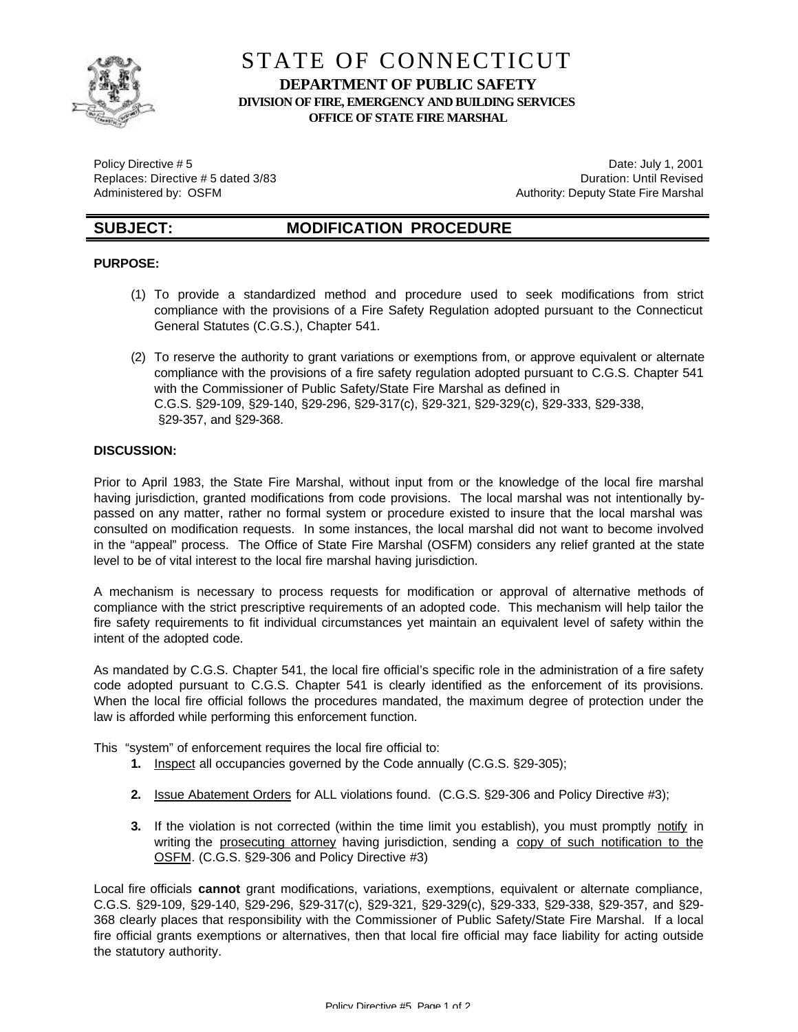

# STATE OF CONNECTICUT **DEPARTMENT OF PUBLIC SAFETY DIVISION OF FIRE, EMERGENCY AND BUILDING SERVICES OFFICE OF STATE FIRE MARSHAL**

Policy Directive # 5 Date: July 1, 2001

Replaces: Directive # 5 dated 3/83 **Duration: Until Revised** Duration: Until Revised Administered by: OSFM **Authority: Deputy State Fire Marshal** 

# **SUBJECT: MODIFICATION PROCEDURE**

## **PURPOSE:**

- (1) To provide a standardized method and procedure used to seek modifications from strict compliance with the provisions of a Fire Safety Regulation adopted pursuant to the Connecticut General Statutes (C.G.S.), Chapter 541.
- (2) To reserve the authority to grant variations or exemptions from, or approve equivalent or alternate compliance with the provisions of a fire safety regulation adopted pursuant to C.G.S. Chapter 541 with the Commissioner of Public Safety/State Fire Marshal as defined in C.G.S. §29-109, §29-140, §29-296, §29-317(c), §29-321, §29-329(c), §29-333, §29-338, §29-357, and §29-368.

### **DISCUSSION:**

Prior to April 1983, the State Fire Marshal, without input from or the knowledge of the local fire marshal having jurisdiction, granted modifications from code provisions. The local marshal was not intentionally bypassed on any matter, rather no formal system or procedure existed to insure that the local marshal was consulted on modification requests. In some instances, the local marshal did not want to become involved in the "appeal" process. The Office of State Fire Marshal (OSFM) considers any relief granted at the state level to be of vital interest to the local fire marshal having jurisdiction.

A mechanism is necessary to process requests for modification or approval of alternative methods of compliance with the strict prescriptive requirements of an adopted code. This mechanism will help tailor the fire safety requirements to fit individual circumstances yet maintain an equivalent level of safety within the intent of the adopted code.

As mandated by C.G.S. Chapter 541, the local fire official's specific role in the administration of a fire safety code adopted pursuant to C.G.S. Chapter 541 is clearly identified as the enforcement of its provisions. When the local fire official follows the procedures mandated, the maximum degree of protection under the law is afforded while performing this enforcement function.

This "system" of enforcement requires the local fire official to:

- **1.** Inspect all occupancies governed by the Code annually (C.G.S. §29-305);
- **2.** Issue Abatement Orders for ALL violations found. (C.G.S. §29-306 and Policy Directive #3);
- **3.** If the violation is not corrected (within the time limit you establish), you must promptly notify in writing the prosecuting attorney having jurisdiction, sending a copy of such notification to the OSFM. (C.G.S. §29-306 and Policy Directive #3)

Local fire officials **cannot** grant modifications, variations, exemptions, equivalent or alternate compliance, C.G.S. §29-109, §29-140, §29-296, §29-317(c), §29-321, §29-329(c), §29-333, §29-338, §29-357, and §29- 368 clearly places that responsibility with the Commissioner of Public Safety/State Fire Marshal. If a local fire official grants exemptions or alternatives, then that local fire official may face liability for acting outside the statutory authority.